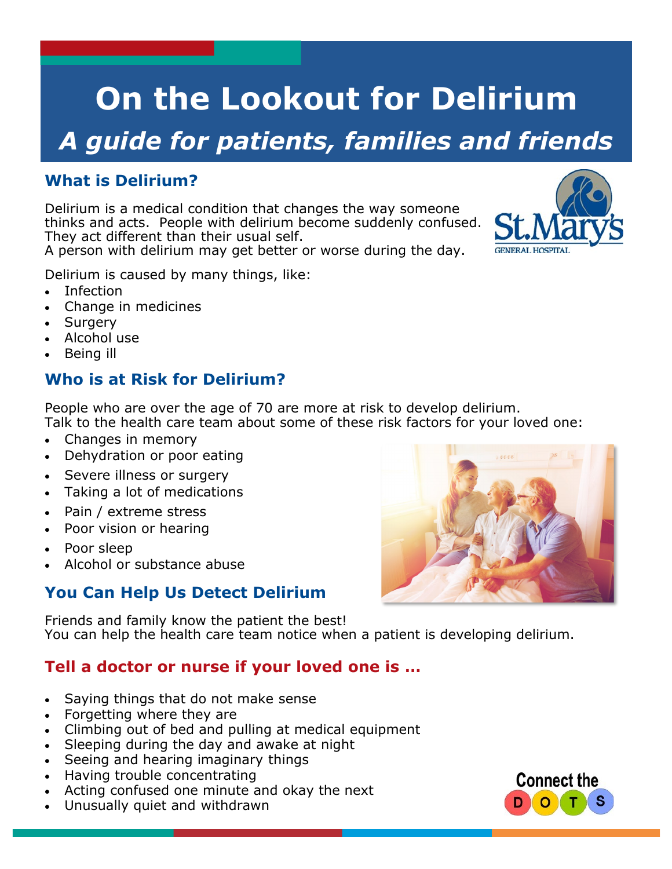# **On the Lookout for Delirium**

## *A guide for patients, families and friends*

### **What is Delirium?**

Delirium is a medical condition that changes the way someone thinks and acts. People with delirium become suddenly confused. They act different than their usual self.

A person with delirium may get better or worse during the day.

Delirium is caused by many things, like:

- Infection
- Change in medicines
- Surgery
- Alcohol use
- Being ill

### **Who is at Risk for Delirium?**

People who are over the age of 70 are more at risk to develop delirium. Talk to the health care team about some of these risk factors for your loved one:

- Changes in memory
- Dehydration or poor eating
- Severe illness or surgery
- Taking a lot of medications
- Pain / extreme stress
- Poor vision or hearing
- Poor sleep
- Alcohol or substance abuse

#### **You Can Help Us Detect Delirium**

Friends and family know the patient the best! You can help the health care team notice when a patient is developing delirium.

#### **Tell a doctor or nurse if your loved one is …**

- Saying things that do not make sense
- Forgetting where they are
- Climbing out of bed and pulling at medical equipment
- Sleeping during the day and awake at night
- Seeing and hearing imaginary things
- Having trouble concentrating
- Acting confused one minute and okay the next
- Unusually quiet and withdrawn